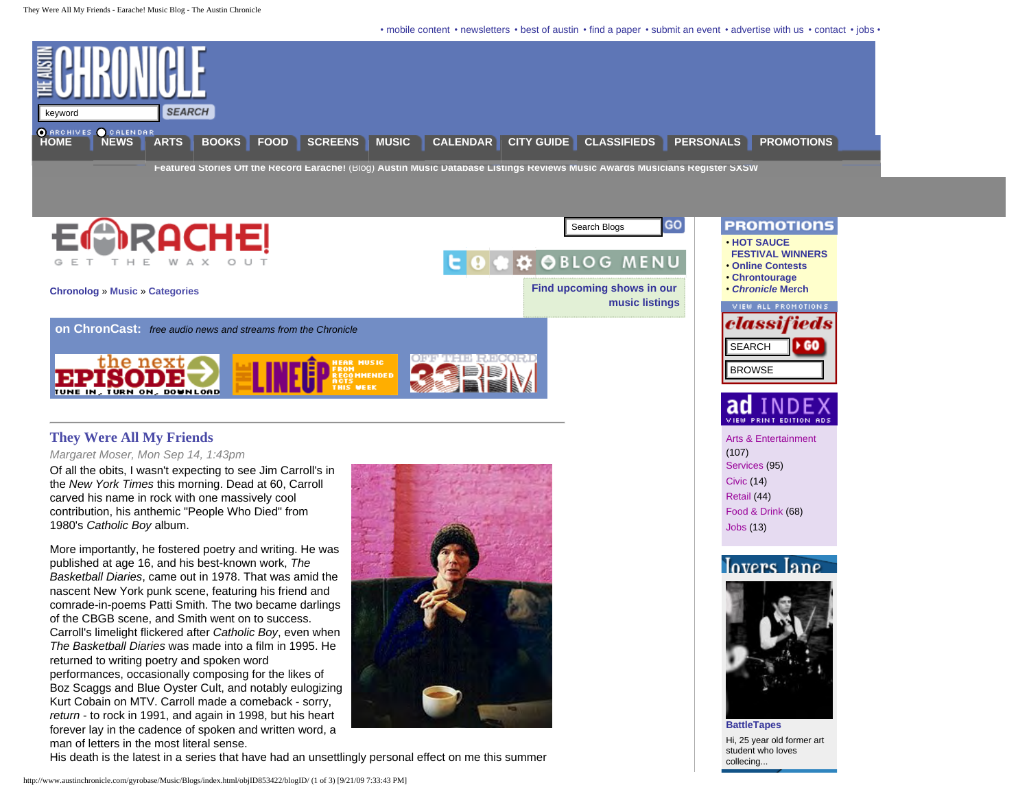• mobile content • [newsletters](http://www.austinchronicle.com/gyrobase/Info/newsletters) • [best of austin](http://www.austinchronicle.com/gyrobase/Awards/BestOfAustin/home) • [find a paper](http://www.austinchronicle.com/gyrobase/action?script=/distro/find2.php&title=Pick+up+a+Chronicle) • [submit an event](http://www.austinchronicle.com/gyrobase/EventSubmission) • [advertise with us](http://www.austinchronicle.com/gyrobase/Info/Ads/) • [contact](http://www.austinchronicle.com/gyrobase/Info/directory) • [jobs](http://www.austinchronicle.com/gyrobase/Info/Jobs/) •

<span id="page-0-0"></span>

**[Featured Stories](http://www.austinchronicle.com/gyrobase/Issue/section?name=Music) [Off the Record](http://www.austinchronicle.com/gyrobase/Archive/column?oid=oid%3A499212) [Earache!](http://www.austinchronicle.com/gyrobase/Blogs/Music)** (Blog) **[Austin Music Database](http://www.austinchronicle.com/gyrobase/AMDB) [Listings](http://www.austinchronicle.com/gyrobase/Calendar/MusicListings) [Reviews](http://www.austinchronicle.com/gyrobase/Archive/review?section=Music) [Music Awards](http://www.austinchronicle.com/gyrobase/Awards/MusicAwards?mode=index) [Musicians Register](http://www.austinchronicle.com/gyrobase/MusiciansRegister/) [SXSW](http://www.austinchronicle.com/gyrobase/Guides/sxsw)**



#### **They Were All My Friends**

#### *[Margaret Moser](http://www.austinchronicle.com/gyrobase/Music/Blogs//index.html/authorID73751/), Mon Sep 14, 1:43pm*

Of all the obits, I wasn't expecting to see Jim Carroll's in the *New York Times* this morning. Dead at 60, Carroll carved his name in rock with one massively cool contribution, his anthemic "People Who Died" from 1980's *Catholic Boy* album.

More importantly, he fostered poetry and writing. He was published at age 16, and his best-known work, *The Basketball Diaries*, came out in 1978. That was amid the nascent New York punk scene, featuring his friend and comrade-in-poems Patti Smith. The two became darlings of the CBGB scene, and Smith went on to success. Carroll's limelight flickered after *Catholic Boy*, even when *The Basketball Diaries* was made into a film in 1995. He returned to writing poetry and spoken word performances, occasionally composing for the likes of Boz Scaggs and Blue Oyster Cult, and notably eulogizing Kurt Cobain on MTV. Carroll made a comeback - sorry, *return* - to rock in 1991, and again in 1998, but his heart forever lay in the cadence of spoken and written word, a man of letters in the most literal sense.





#### • **[Online Contests](http://www.austinchronicle.com/gyrobase/Market/Contests)** • **[Chrontourage](http://www.austinchronicle.com/gyrobase/Market/chrontourage)** • *[Chronicle](http://www.theconnextion.com/index.cfm?ArtistID=205&NoFrame=Yes)* **Merch**

• **[HOT SAUCE](http://www.austinchronicle.com/gyrobase/Market/HotSauce)   [FESTIVAL WINNERS](http://www.austinchronicle.com/gyrobase/Market/HotSauce)**

ı



# VIEW PRINT EDITION ADS

[Arts & Entertainment](http://www.austinchronicle.com/gyrobase/AdIndex/Section?GuideLevel=1) (107) [Services](http://www.austinchronicle.com/gyrobase/AdIndex/Section?GuideLevel=2) (95) [Civic](http://www.austinchronicle.com/gyrobase/AdIndex/Section?GuideLevel=3) (14) [Retail](http://www.austinchronicle.com/gyrobase/AdIndex/Section?GuideLevel=4) (44) [Food & Drink](http://www.austinchronicle.com/gyrobase/AdIndex/Section?GuideLevel=5) (68) [Jobs](http://www.austinchronicle.com/gyrobase/AdIndex/Section?jobs=all) (13)

### lavere Jane



**[BattleTapes](http://austinchronicle.selectalternatives.com/gyrobase/Personals/Profile?person=oid%3A558017)** Hi, 25 year old former art student who loves collecing...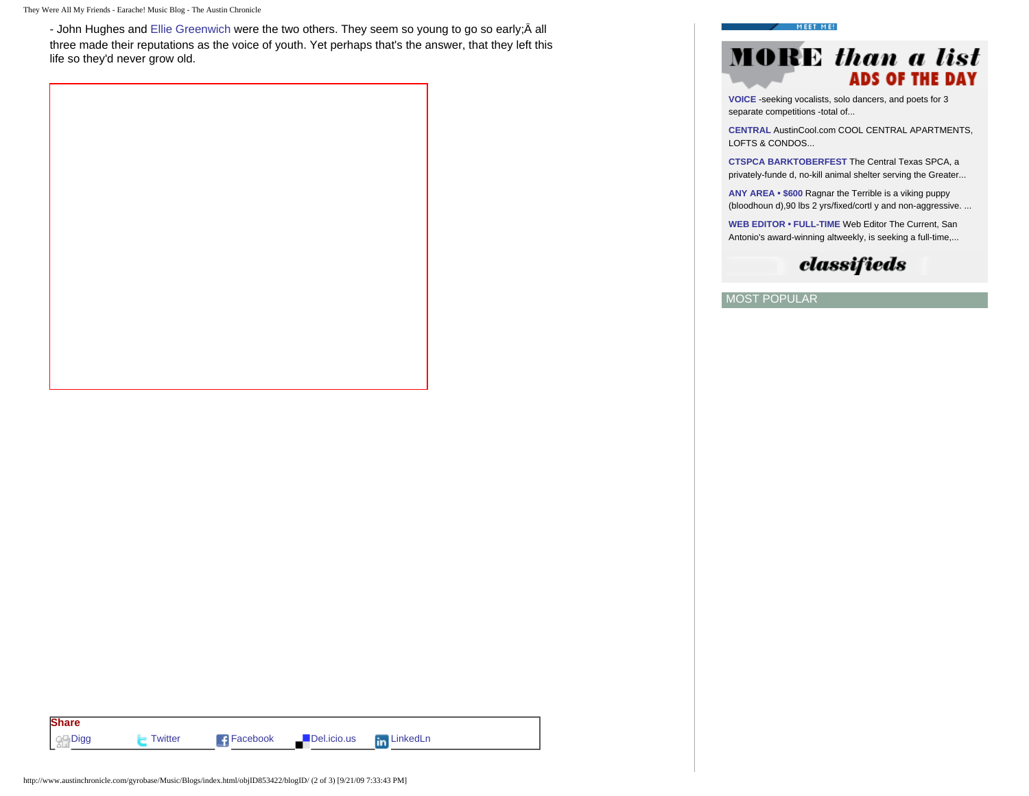They Were All My Friends - Earache! Music Blog - The Austin Chronicle

- John Hughes and [Ellie Greenwich](http://www.austinchronicle.com/gyrobase/Music/Blogs/?oid=oid:827597&blog=oid:464511) were the two others. They seem so young to go so early;Â all three made their reputations as the voice of youth. Yet perhaps that's the answer, that they left this life so they'd never grow old.

#### MEET ME!

## MARE than a list ARE OF THE BAY

**[VOICE](http://classifieds.austinchronicle.com/gyrobase/ViewAd?oid=oid:392821)** -seeking vocalists, solo dancers, and poets for 3 separate competitions -total of...

**[CENTRAL](http://classifieds.austinchronicle.com/gyrobase/ViewAd?oid=oid:386447)** AustinCool.com COOL CENTRAL APARTMENTS, LOFTS & CONDOS...

**[CTSPCA BARKTOBERFEST](http://classifieds.austinchronicle.com/gyrobase/ViewAd?oid=oid:397549)** The Central Texas SPCA, a privately-funde d, no-kill animal shelter serving the Greater...

**[ANY AREA](http://classifieds.austinchronicle.com/gyrobase/ViewAd?oid=oid:400139) • \$600** Ragnar the Terrible is a viking puppy (bloodhoun d),90 lbs 2 yrs/fixed/cortl y and non-aggressive. ...

**[WEB EDITOR](http://classifieds.austinchronicle.com/gyrobase/ViewAd?oid=oid:391781) • FULL-TIME** Web Editor The Current, San Antonio's award-winning altweekly, is seeking a full-time,...

## classifieds

MOST POPULAR